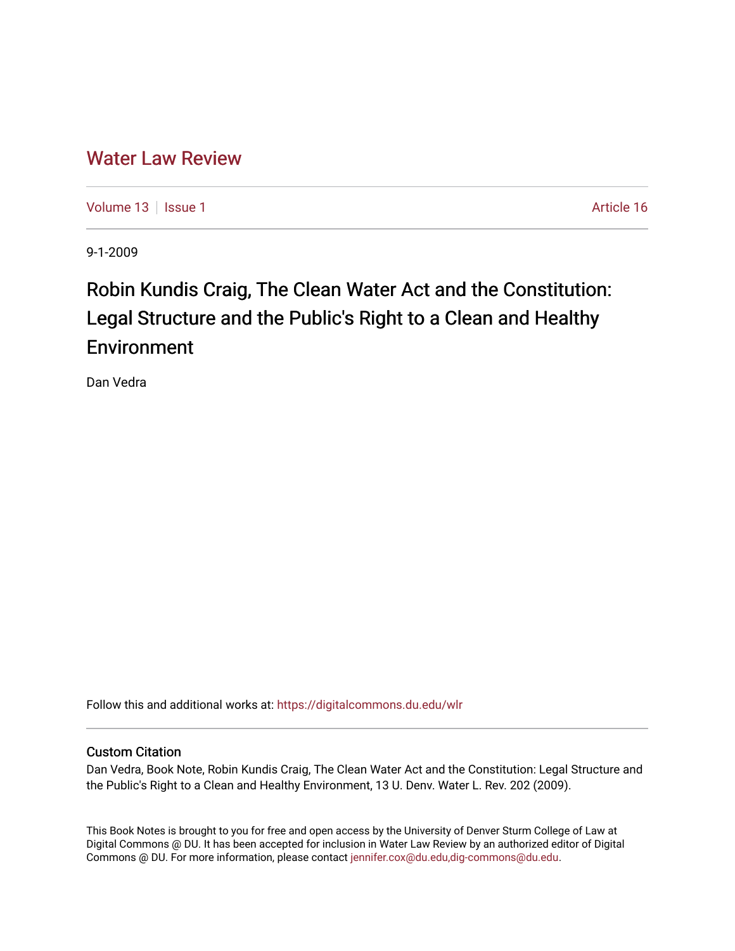# [Water Law Review](https://digitalcommons.du.edu/wlr)

[Volume 13](https://digitalcommons.du.edu/wlr/vol13) | [Issue 1](https://digitalcommons.du.edu/wlr/vol13/iss1) Article 16

9-1-2009

# Robin Kundis Craig, The Clean Water Act and the Constitution: Legal Structure and the Public's Right to a Clean and Healthy Environment

Dan Vedra

Follow this and additional works at: [https://digitalcommons.du.edu/wlr](https://digitalcommons.du.edu/wlr?utm_source=digitalcommons.du.edu%2Fwlr%2Fvol13%2Fiss1%2F16&utm_medium=PDF&utm_campaign=PDFCoverPages) 

## Custom Citation

Dan Vedra, Book Note, Robin Kundis Craig, The Clean Water Act and the Constitution: Legal Structure and the Public's Right to a Clean and Healthy Environment, 13 U. Denv. Water L. Rev. 202 (2009).

This Book Notes is brought to you for free and open access by the University of Denver Sturm College of Law at Digital Commons @ DU. It has been accepted for inclusion in Water Law Review by an authorized editor of Digital Commons @ DU. For more information, please contact [jennifer.cox@du.edu,dig-commons@du.edu.](mailto:jennifer.cox@du.edu,dig-commons@du.edu)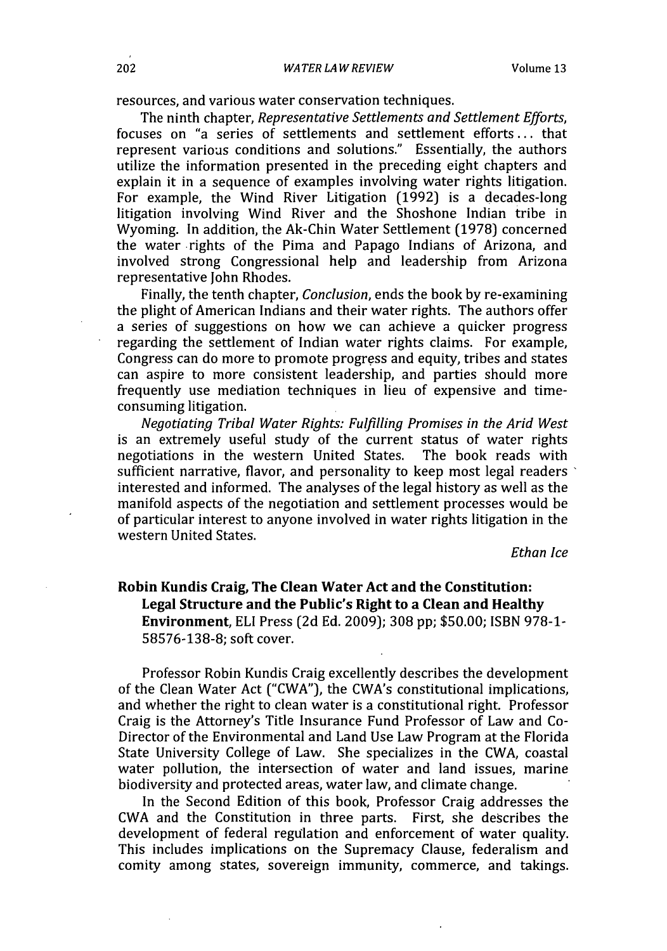resources, and various water conservation techniques.

The ninth chapter, *Representative Settlements and Settlement Efforts,* focuses on "a series of settlements and settlement efforts **...** that represent various conditions and solutions." Essentially, the authors utilize the information presented in the preceding eight chapters and explain it in a sequence of examples involving water rights litigation. For example, the Wind River Litigation (1992) is a decades-long litigation involving Wind River and the Shoshone Indian tribe in Wyoming. In addition, the Ak-Chin Water Settlement (1978) concerned the water -rights of the Pima and Papago Indians of Arizona, and involved strong Congressional help and leadership from Arizona representative John Rhodes.

Finally, the tenth chapter, *Conclusion,* ends the book by re-examining the plight of American Indians and their water rights. The authors offer a series of suggestions on how we can achieve a quicker progress regarding the settlement of Indian water rights claims. For example, Congress can do more to promote progress and equity, tribes and states can aspire to more consistent leadership, and parties should more frequently use mediation techniques in lieu of expensive and timeconsuming litigation.

*Negotiating Tribal Water Rights: Fulfilling Promises in the Arid West* is an extremely useful study of the current status of water rights negotiations in the western United States. The book reads with sufficient narrative, flavor, and personality to keep most legal readers interested and informed. The analyses of the legal history as well as the manifold aspects of the negotiation and settlement processes would be of particular interest to anyone involved in water rights litigation in the western United States.

*Ethan Ice*

### **Robin Kundis Craig, The Clean Water Act and the Constitution: Legal Structure and the Public's Right to a Clean and Healthy Environment, ELI** Press **(2d Ed. 2009); 308 pp; \$50.00; ISBN 978-1- 58576-138-8; soft cover.**

Professor Robin Kundis Craig excellently describes the development of the Clean Water Act ("CWA"), the CWA's constitutional implications, and whether the right to clean water is a constitutional right. Professor Craig is the Attorney's Title Insurance Fund Professor of Law and Co-Director of the Environmental and Land Use Law Program at the Florida State University College of Law. She specializes in the CWA, coastal water pollution, the intersection of water and land issues, marine biodiversity and protected areas, water law, and climate change.

In the Second Edition of this book, Professor Craig addresses the CWA and the Constitution in three parts. First, she describes the development of federal regulation and enforcement of water quality. This includes implications on the Supremacy Clause, federalism and comity among states, sovereign immunity, commerce, and takings.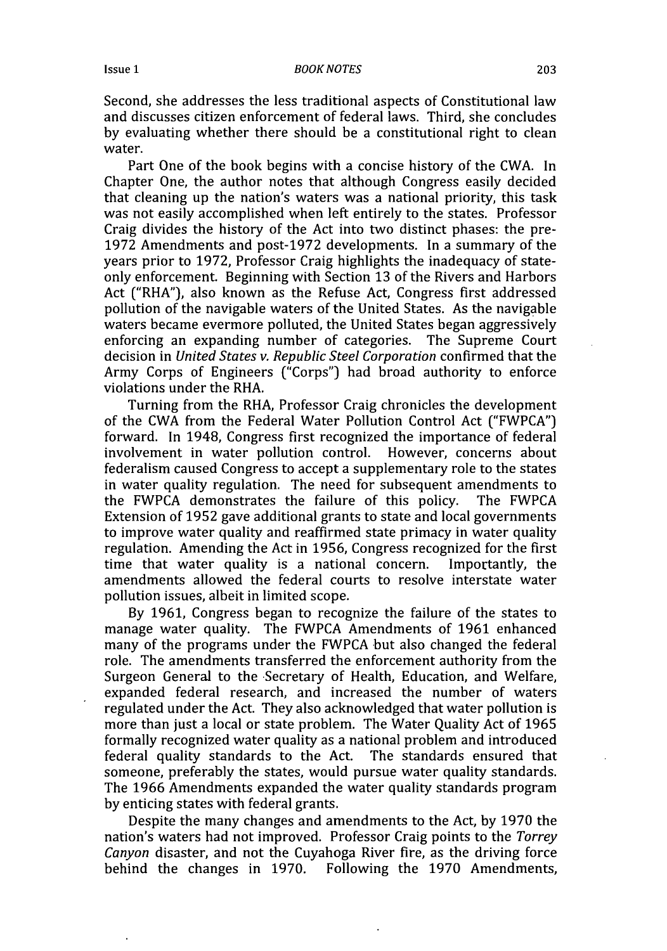#### *BOOK NOTES*

Second, she addresses the less traditional aspects of Constitutional law and discusses citizen enforcement of federal laws. Third, she concludes by evaluating whether there should be a constitutional right to clean water.

Part One of the book begins with a concise history of the CWA. In Chapter One, the author notes that although Congress easily decided that cleaning up the nation's waters was a national priority, this task was not easily accomplished when left entirely to the states. Professor Craig divides the history of the Act into two distinct phases: the pre-1972 Amendments and post-1972 developments. In a summary of the years prior to 1972, Professor Craig highlights the inadequacy of stateonly enforcement. Beginning with Section 13 of the Rivers and Harbors Act ("RHA"), also known as the Refuse Act, Congress first addressed pollution of the navigable waters of the United States. As the navigable waters became evermore polluted, the United States began aggressively enforcing an expanding number of categories. The Supreme Court decision in *United States v. Republic Steel Corporation* confirmed that the Army Corps of Engineers ("Corps") had broad authority to enforce violations under the RHA.

Turning from the RHA, Professor Craig chronicles the development of the CWA from the Federal Water Pollution Control Act ("FWPCA") forward. In 1948, Congress first recognized the importance of federal involvement in water pollution control. However, concerns about federalism caused Congress to accept a supplementary role to the states in water quality regulation. The need for subsequent amendments to the FWPCA demonstrates the failure of this policy. The FWPCA Extension of 1952 gave additional grants to state and local governments to improve water quality and reaffirmed state primacy in water quality regulation. Amending the Act in 1956, Congress recognized for the first time that water quality is a national concern. Importantly, the amendments allowed the federal courts to resolve interstate water pollution issues, albeit in limited scope.

By 1961, Congress began to recognize the failure of the states to manage water quality. The FWPCA Amendments of 1961 enhanced many of the programs under the FWPCA but also changed the federal role. The amendments transferred the enforcement authority from the Surgeon General to the Secretary of Health, Education, and Welfare, expanded federal research, and increased the number of waters regulated under the Act. They also acknowledged that water pollution is more than just a local or state problem. The Water Quality Act of 1965 formally recognized water quality as a national problem and introduced federal quality standards to the Act. The standards ensured that someone, preferably the states, would pursue water quality standards. The 1966 Amendments expanded the water quality standards program by enticing states with federal grants.

Despite the many changes and amendments to the Act, by 1970 the nation's waters had not improved. Professor Craig points to the *Torrey Canyon* disaster, and not the Cuyahoga River fire, as the driving force behind the changes in 1970. Following the 1970 Amendments,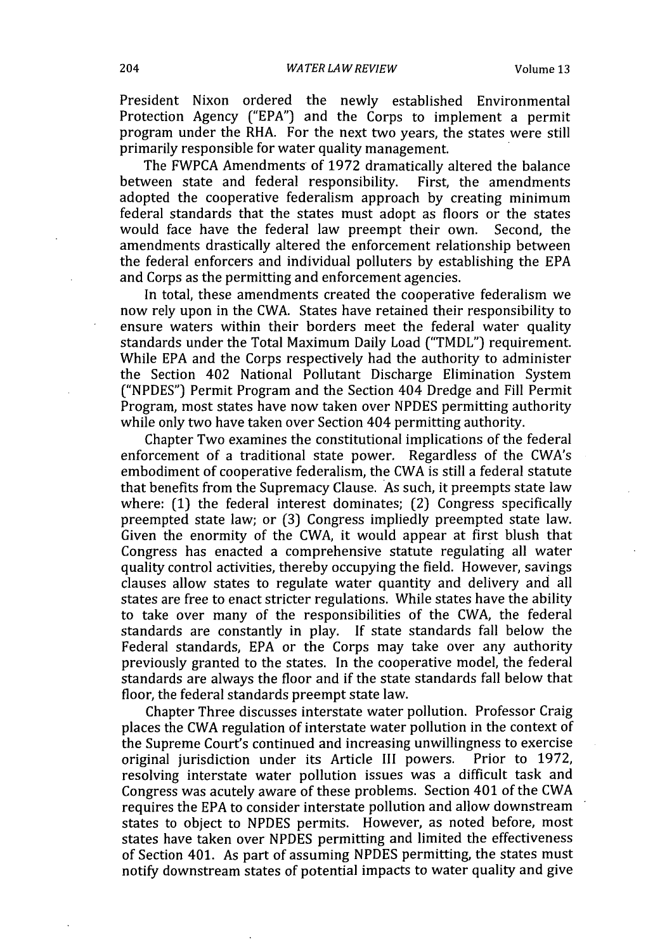President Nixon ordered the newly established Environmental Protection Agency ("EPA") and the Corps to implement a permit program under the RHA. For the next two years, the states were still primarily responsible for water quality management.

The FWPCA Amendments of 1972 dramatically altered the balance between state and federal responsibility. First, the amendments adopted the cooperative federalism approach by creating minimum federal standards that the states must adopt as floors or the states would face have the federal law preempt their own. Second, the amendments drastically altered the enforcement relationship between the federal enforcers and individual polluters by establishing the EPA and Corps as the permitting and enforcement agencies.

In total, these amendments created the cooperative federalism we now rely upon in the CWA. States have retained their responsibility to ensure waters within their borders meet the federal water quality standards under the Total Maximum Daily Load ("TMDL") requirement. While EPA and the Corps respectively had the authority to administer the Section 402 National Pollutant Discharge Elimination System ("NPDES") Permit Program and the Section 404 Dredge and Fill Permit Program, most states have now taken over NPDES permitting authority while only two have taken over Section 404 permitting authority.

Chapter Two examines the constitutional implications of the federal enforcement of a traditional state power. Regardless of the CWA's embodiment of cooperative federalism, the CWA is still a federal statute that benefits from the Supremacy Clause. As such, it preempts state law where: (1) the federal interest dominates; (2) Congress specifically preempted state law; or (3) Congress impliedly preempted state law. Given the enormity of the CWA, it would appear at first blush that Congress has enacted a comprehensive statute regulating all water quality control activities, thereby occupying the field. However, savings clauses allow states to regulate water quantity and delivery and all states are free to enact stricter regulations. While states have the ability to take over many of the responsibilities of the CWA, the federal standards are constantly in play. **If** state standards fall below the Federal standards, EPA or the Corps may take over any authority previously granted to the states. In the cooperative model, the federal standards are always the floor and if the state standards fall below that floor, the federal standards preempt state law.

Chapter Three discusses interstate water pollution. Professor Craig places the CWA regulation of interstate water pollution in the context of the Supreme Court's continued and increasing unwillingness to exercise original jurisdiction under its Article **III** powers. Prior to 1972, resolving interstate water pollution issues was a difficult task and Congress was acutely aware of these problems. Section 401 of the CWA requires the EPA to consider interstate pollution and allow downstream states to object to NPDES permits. However, as noted before, most states have taken over NPDES permitting and limited the effectiveness of Section 401. As part of assuming NPDES permitting, the states must notify downstream states of potential impacts to water quality and give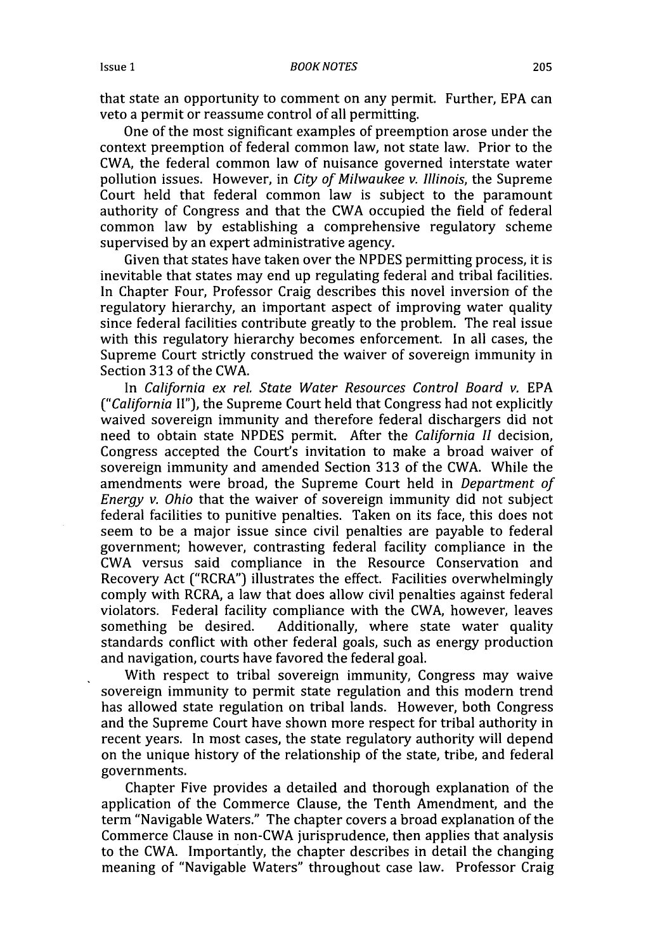that state an opportunity to comment on any permit. Further, EPA can veto a permit or reassume control of all permitting.

One of the most significant examples of preemption arose under the context preemption of federal common law, not state law. Prior to the CWA, the federal common law of nuisance governed interstate water pollution issues. However, in *City of Milwaukee v. Illinois,* the Supreme Court held that federal common law is subject to the paramount authority of Congress and that the CWA occupied the field of federal common law by establishing a comprehensive regulatory scheme supervised by an expert administrative agency.

Given that states have taken over the NPDES permitting process, it is inevitable that states may end up regulating federal and tribal facilities. In Chapter Four, Professor Craig describes this novel inversion of the regulatory hierarchy, an important aspect of improving water quality since federal facilities contribute greatly to the problem. The real issue with this regulatory hierarchy becomes enforcement. In all cases, the Supreme Court strictly construed the waiver of sovereign immunity in Section **313** of the CWA.

In *California ex rel. State Water Resources Control Board v.* **EPA** *("California* **II"),** the Supreme Court held that Congress had not explicitly waived sovereign immunity and therefore federal dischargers did not need to obtain state NPDES permit. After the *California II* decision, Congress accepted the Court's invitation to make a broad waiver of sovereign immunity and amended Section **313** of the CWA. While the amendments were broad, the Supreme Court held in *Department of Energy v. Ohio* that the waiver of sovereign immunity did not subject federal facilities to punitive penalties. Taken on its face, this does not seem to be a major issue since civil penalties are payable to federal government; however, contrasting federal facility compliance in the CWA versus said compliance in the Resource Conservation and Recovery Act ("RCRA") illustrates the effect. Facilities overwhelmingly comply with RCRA, a law that does allow civil penalties against federal violators. Federal facility compliance with the CWA, however, leaves something be desired. Additionally, where state water quality standards conflict with other federal goals, such as energy production and navigation, courts have favored the federal goal.

With respect to tribal sovereign immunity, Congress may waive sovereign immunity to permit state regulation and this modern trend has allowed state regulation on tribal lands. However, both Congress and the Supreme Court have shown more respect for tribal authority in recent years. In most cases, the state regulatory authority will depend on the unique history of the relationship of the state, tribe, and federal governments.

Chapter Five provides a detailed and thorough explanation of the application of the Commerce Clause, the Tenth Amendment, and the term "Navigable Waters." The chapter covers a broad explanation of the Commerce Clause in non-CWA jurisprudence, then applies that analysis to the CWA. Importantly, the chapter describes in detail the changing meaning of "Navigable Waters" throughout case law. Professor Craig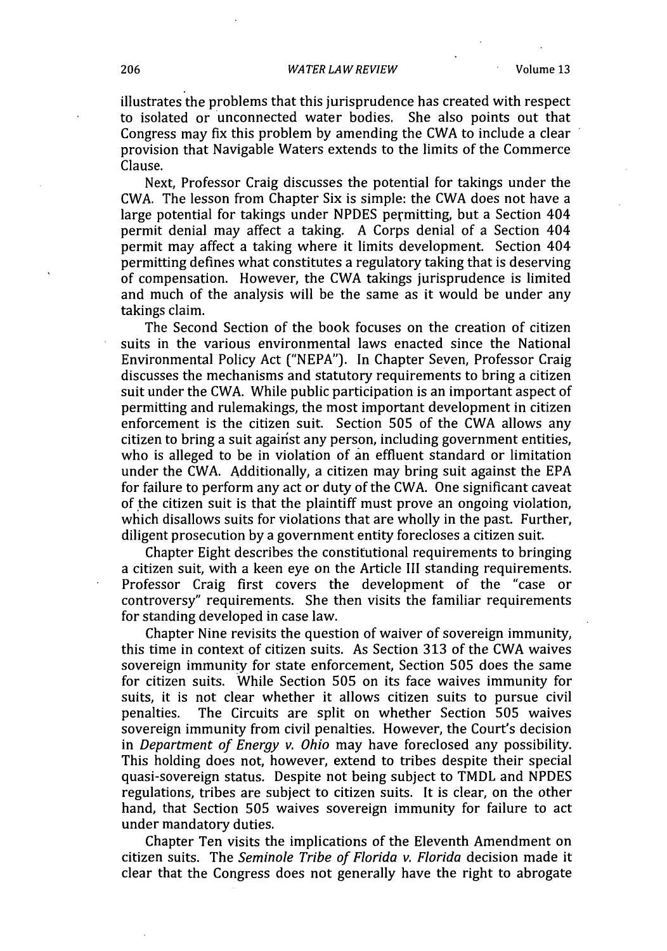#### *WATER LAW REVIEW*

illustrates the problems that this jurisprudence has created with respect to isolated or unconnected water bodies. She also points out that Congress may fix this problem by amending the CWA to include a clear provision that Navigable Waters extends to the limits of the Commerce Clause.

Next, Professor Craig discusses the potential for takings under the CWA. The lesson from Chapter Six is simple: the CWA does not have a large potential for takings under NPDES permitting, but a Section 404 permit denial may affect a taking. A Corps denial of a Section 404 permit may affect a taking where it limits development. Section 404 permitting defines what constitutes a regulatory taking that is deserving of compensation. However, the CWA takings jurisprudence is limited and much of the analysis will be the same as it would be under any takings claim.

The Second Section of the book focuses on the creation of citizen suits in the various environmental laws enacted since the National Environmental Policy Act ("NEPA"). In Chapter Seven, Professor Craig discusses the mechanisms and statutory requirements to bring a citizen suit under the CWA. While public participation is an important aspect of permitting and rulemakings, the most important development in citizen enforcement is the citizen suit. Section 505 of the CWA allows any citizen to bring a suit against any person, including government entities, who is alleged to be in violation of an effluent standard or limitation under the CWA. Additionally, a citizen may bring suit against the EPA for failure to perform any act or duty of the CWA. One significant caveat of the citizen suit is that the plaintiff must prove an ongoing violation, which disallows suits for violations that are wholly in the past. Further, diligent prosecution by a government entity forecloses a citizen suit.

Chapter Eight describes the constitutional requirements to bringing a citizen suit, with a keen eye on the Article III standing requirements. Professor Craig first covers the development of the "case or controversy" requirements. She then visits the familiar requirements for standing developed in case law.

Chapter Nine revisits the question of waiver of sovereign immunity, this time in context of citizen suits. As Section 313 of the CWA waives sovereign immunity for state enforcement, Section 505 does the same for citizen suits. While Section 505 on its face waives immunity for suits, it is not clear whether it allows citizen suits to pursue civil penalties. The Circuits are split on whether Section **505** waives sovereign immunity from civil penalties. However, the Court's decision in *Department of Energy v. Ohio* may have foreclosed any possibility. This holding does not, however, extend to tribes despite their special quasi-sovereign status. Despite not being subject to TMDL and NPDES regulations, tribes are subject to citizen suits. It is clear, on the other hand, that Section 505 waives sovereign immunity for failure to act under mandatory duties.

Chapter Ten visits the implications of the Eleventh Amendment on citizen suits. The *Seminole Tribe of Florida v. Florida* decision made it clear that the Congress does not generally have the right to abrogate